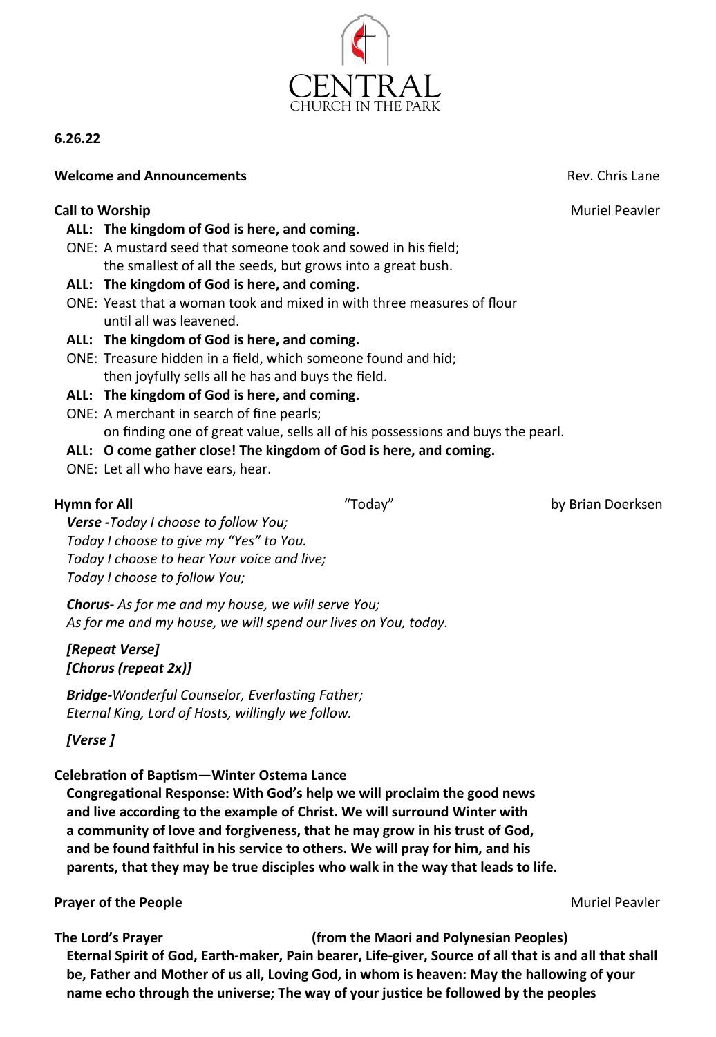

# **6.26.22**

### **Welcome and Announcements Rev. Chris Lane Rev. Chris Lane**

# **Call to Worship Call to Worship Call to Worship Muriel Peavler**

- **ALL: The kingdom of God is here, and coming.**
- ONE: A mustard seed that someone took and sowed in his field; the smallest of all the seeds, but grows into a great bush.
- **ALL: The kingdom of God is here, and coming.**
- ONE: Yeast that a woman took and mixed in with three measures of flour until all was leavened.
- **ALL: The kingdom of God is here, and coming.**
- ONE: Treasure hidden in a field, which someone found and hid; then joyfully sells all he has and buys the field.

#### **ALL: The kingdom of God is here, and coming.**

ONE: A merchant in search of fine pearls; on finding one of great value, sells all of his possessions and buys the pearl.

#### **ALL: O come gather close! The kingdom of God is here, and coming.**

ONE: Let all who have ears, hear.

**Hymn for All** "Today" by Brian Doerksen

*Verse -Today I choose to follow You; Today I choose to give my "Yes" to You. Today I choose to hear Your voice and live; Today I choose to follow You;*

*Chorus- As for me and my house, we will serve You; As for me and my house, we will spend our lives on You, today.*

# *[Repeat Verse] [Chorus (repeat 2x)]*

*Bridge-Wonderful Counselor, Everlasting Father; Eternal King, Lord of Hosts, willingly we follow.*

# *[Verse ]*

#### **Celebration of Baptism—Winter Ostema Lance**

**Congregational Response: With God's help we will proclaim the good news and live according to the example of Christ. We will surround Winter with a community of love and forgiveness, that he may grow in his trust of God, and be found faithful in his service to others. We will pray for him, and his parents, that they may be true disciples who walk in the way that leads to life.**

#### **Prayer of the People Music Proposed and Security Prayer of the Peavler Music Proposed and Security Proposed Automobile Peavler**

**The Lord's Prayer (from the Maori and Polynesian Peoples) Eternal Spirit of God, Earth-maker, Pain bearer, Life-giver, Source of all that is and all that shall be, Father and Mother of us all, Loving God, in whom is heaven: May the hallowing of your name echo through the universe; The way of your justice be followed by the peoples** 

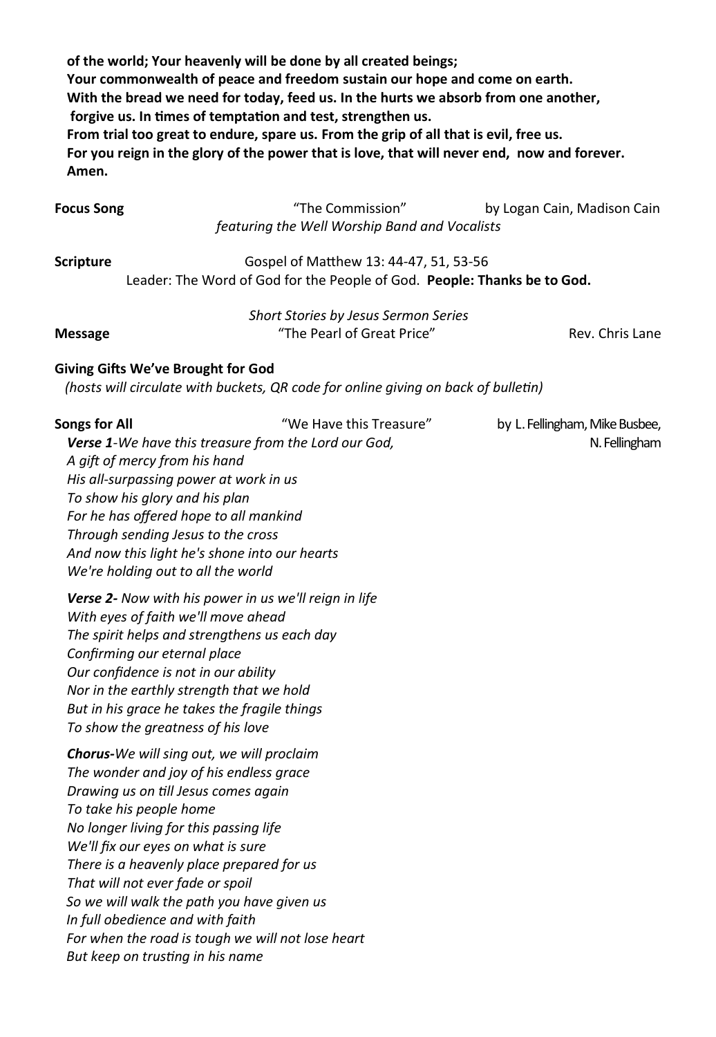**of the world; Your heavenly will be done by all created beings; Your commonwealth of peace and freedom sustain our hope and come on earth. With the bread we need for today, feed us. In the hurts we absorb from one another, forgive us. In times of temptation and test, strengthen us. From trial too great to endure, spare us. From the grip of all that is evil, free us. For you reign in the glory of the power that is love, that will never end, now and forever. Amen.**

| <b>Focus Song</b> | "The Commission"                              | by Logan Cain, Madison Cain |
|-------------------|-----------------------------------------------|-----------------------------|
|                   | featuring the Well Worship Band and Vocalists |                             |

**Scripture Gospel of Matthew 13: 44-47, 51, 53-56** Leader: The Word of God for the People of God. **People: Thanks be to God.**

|                                                                                                                                          | Short Stories by Jesus Sermon Series |                 |
|------------------------------------------------------------------------------------------------------------------------------------------|--------------------------------------|-----------------|
| <b>Message</b>                                                                                                                           | "The Pearl of Great Price"           | Rev. Chris Lane |
| $\mathbf{A}$ , and $\mathbf{A}$ , $\mathbf{A}$ , $\mathbf{A}$ , $\mathbf{A}$ , $\mathbf{A}$ , $\mathbf{A}$ , $\mathbf{A}$ , $\mathbf{A}$ |                                      |                 |

#### **Giving Gifts We've Brought for God**

*(hosts will circulate with buckets, QR code for online giving on back of bulletin)*

| <b>Songs for All</b><br>Verse 1-We have this treasure from the Lord our God,<br>A gift of mercy from his hand<br>His all-surpassing power at work in us<br>To show his glory and his plan<br>For he has offered hope to all mankind<br>Through sending Jesus to the cross<br>And now this light he's shone into our hearts<br>We're holding out to all the world                                                                                                                                    | "We Have this Treasure" | by L. Fellingham, Mike Busbee,<br>N. Fellingham |
|-----------------------------------------------------------------------------------------------------------------------------------------------------------------------------------------------------------------------------------------------------------------------------------------------------------------------------------------------------------------------------------------------------------------------------------------------------------------------------------------------------|-------------------------|-------------------------------------------------|
| <b>Verse 2-</b> Now with his power in us we'll reign in life<br>With eyes of faith we'll move ahead<br>The spirit helps and strengthens us each day<br>Confirming our eternal place<br>Our confidence is not in our ability<br>Nor in the earthly strength that we hold<br>But in his grace he takes the fragile things<br>To show the greatness of his love                                                                                                                                        |                         |                                                 |
| Chorus-We will sing out, we will proclaim<br>The wonder and joy of his endless grace<br>Drawing us on till Jesus comes again<br>To take his people home<br>No longer living for this passing life<br>We'll fix our eyes on what is sure<br>There is a heavenly place prepared for us<br>That will not ever fade or spoil<br>So we will walk the path you have given us<br>In full obedience and with faith<br>For when the road is tough we will not lose heart<br>But keep on trusting in his name |                         |                                                 |